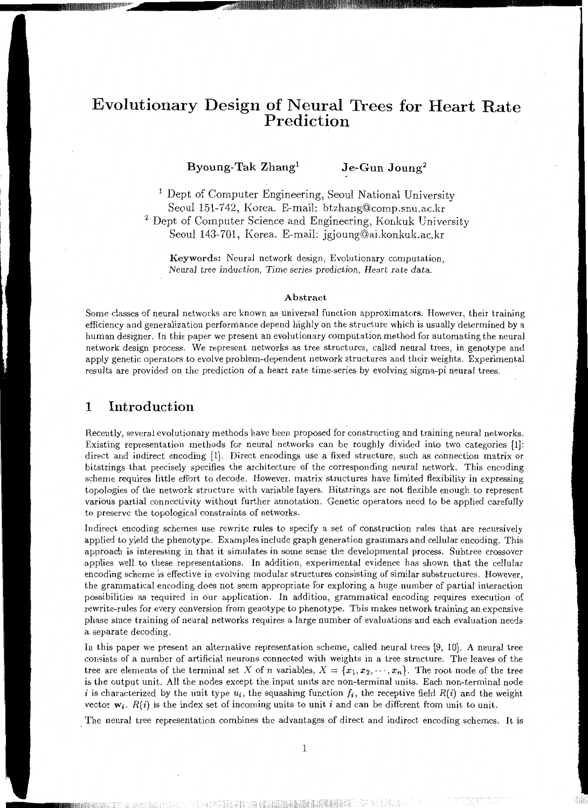## **Evolutionary Design of Neural Trees for Heart Rate Prediction**

**Byoung-Tak Zhang<sup>1</sup>Je-Gun Joung2** 

<sup>1</sup> Dept of Computer Engineering, Seoul National University Seoul 151-742, Korea. E-mail: btzhang@comp.snu.ac.kr <sup>2</sup> Dept of Computer Science and Engineering, Konkuk University Seoul 143-701, Korea. E-mail: jgjoung@ai.konkuk.ac.kr

Keywords: Neural network design, Evolutionary computation, Neural tree *induction, Time series prediction,* Heart rate data.

#### Abstract

Some classes of neural networks are known as universal function approximators. However, their training efficiency and generalization performance depend highly on the structure which is usually determined by a human designer. In this paper we present an evolutionary computation method for automating the neural network design process. We represent networks as tree structures, called neural trees, in genotype and apply genetic operators to evolve problem-dependent network structures and their weights. Experimental results are provided on the prediction of a heart rate time-series by evolving sigma-pi neural trees.

## **1 Introduction**

Recently, several evolutionary methods have been proposed for constructing and training neural networks. Existing representation methods for neural networks can be roughly divided into two categories [1]: direct and indirect encoding [1]. Direct encodings use a fixed structure, such as connection matrix or bitstrings that precisely specifies the architecture of the corresponding neural network. This encoding scheme requires little effort to decode. However, matrix structures have limited flexibility in expressing topologies of the network structure with variable layers. Bitstrings are not flexible enough to represent various partial connectivity without further annotation. Genetic operators need to be applied carefully to preserve the topological constraints of networks.

Indirect encoding schemes use rewrite rules to specify a set of construction rules that are recursively applied to yield the phenotype. Examples include graph generation grammars and cellular encoding. This approach is interesting in that it simulates in some sense the developmental process. Subtree crossover applies well to these representations. In addition, experimental evidence has shown that the cellular encoding scheme is effective in evolving modular structures consisting of similar substructures. However, the grammatical encoding does not seem appropriate for exploring a huge number of partial interaction possibilities as required in our application. In addition, grammatical encoding requires execution of rewrite-rules for every conversion from genotype to phenotype. This makes network training an expensive phase since training of neural networks requires a large number of evaluations and each evaluation needs a separate decoding.

In this paper we present an alternative representation scheme, called neural trees [9, 10]. A neural tree consists of a number of artificial neurons connected with weights in a tree structure. The leaves of the tree are elements of the terminal set X of n variables,  $X = \{x_1, x_2, \dots, x_n\}$ . The root node of the tree is the output unit. All the nodes except the input units are non-terminal units. Each non-terminal node i is characterized by the unit type  $u_i$ , the squashing function  $f_i$ , the receptive field  $R(i)$  and the weight vector  $w_i$ .  $R(i)$  is the index set of incoming units to unit i and can be different from unit to unit.

. The neural tree representation combines the advantages of direct and indirect encoding schemes. It is

 $\{1,2\}$  , and the set of  $\{1,3\}$  ,  $\{1,4\}$  ,  $\{1,3\}$  ,  $\{1,4\}$  ,  $\{1,4\}$  ,  $\{1,3\}$  ,  $\{1,3\}$  ,  $\{1,4\}$  ,  $\{1,4\}$  ,  $\{1,4\}$  ,  $\{1,4\}$  ,  $\{1,4\}$  ,  $\{1,4\}$  ,  $\{1,4\}$  ,  $\{1,4\}$  ,  $\{1,4\}$  ,  $\$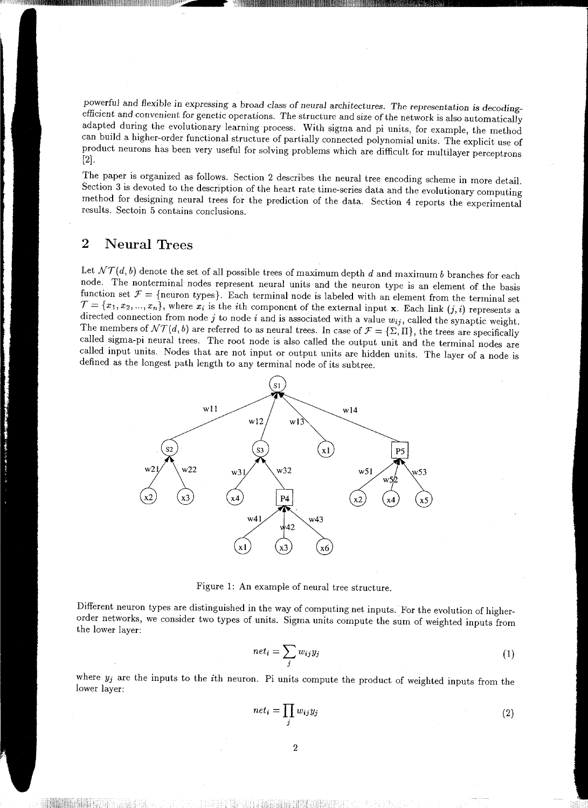powerful and flexible in expressing a broad *class* of neural architectures. *The* representation is decodingefficient and convenient for genetic operations. *The* structure and size of the network is also automatically adapted during the evolutionary learning process. With sigma and pi units, for example, the method can build a higher-order functional structure of partially connected polynomial units. The explicit use of product neurons has been very useful for solving problems which are difficult for multilayer perceptrons [2].

The paper is organized as follows. Section 2 describes the neural tree encoding scheme in more detail. Section 3 is devoted to the description of the heart rate time-series data and the evolutionary computing method for designing neural trees for the prediction of the data. Section 4 reports the experimental results. Sectoin 5 contains conclusions.

## **2 Neural Trees**

the parties of the company of the company

I'' ''' ''' The Roman Market Man III III in lille la Radio 111' . Il lille la Castellillilli la Radio 1111 . L

Let  $NT(d, b)$  denote the set of all possible trees of maximum depth *d* and maximum *b* branches for each node. The nonterminal nodes represent neural units and the neuron type is an element of the basis function set  $\mathcal{F} =$  {neuron types}. Each terminal node is labeled with an element from the terminal set  $\mathcal{T}=\{x_1, x_2, ..., x_n\}$ , where  $x_i$  is the *i*th component of the external input x. Each link  $(j, i)$  represents a directed connection from node j to node i and is associated with a value  $w_{ij}$ , called the synaptic weight. The members of  $\mathcal{NT}(d, b)$  are referred to as neural trees. In case of  $\mathcal{F} = \{\Sigma, \Pi\}$ , the trees are specifically called sigma-pi neural trees. The root node is also called the output unit and the terminal nodes are called input units. Nodes that are not input or output units are hidden units. The layer of a node is defined as the longest path length to any terminal node of its subtree.



Figure 1: An example of neural tree structure.

Different neuron types are distinguished in the way of computing net inputs. For the evolution of higherorder networks, we consider two types of units. Sigma units compute the sum of weighted inputs from the lower layer:

$$
net_i = \sum_j w_{ij} y_j \tag{1}
$$

where  $y_j$  are the inputs to the *i*th neuron. Pi units compute the product of weighted inputs from the lower layer:

$$
net_i = \prod_j w_{ij} y_j \tag{2}
$$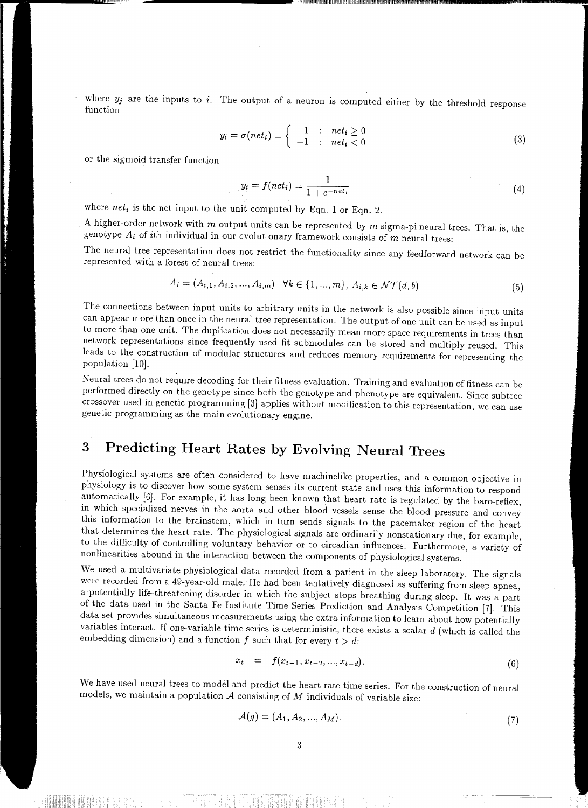where  $y_j$  are the inputs to *i*. The output of a neuron is computed either by the threshold response function

$$
y_i = \sigma(net_i) = \left\{ \begin{array}{rcl} 1 & : & net_i \ge 0 \\ -1 & : & net_i < 0 \end{array} \right. \tag{3}
$$

111111111 !''11111111,1!1111''11 <sup>11</sup> 1111111111..11!,1!11' l!l!llllll'~!llllllll'lffi!IIII~IIIIIIIIII!IIIIIIIIIIIIW~II!IIIn:ffi~lll!lllnllllll \_\_\_\_\_\_\_\_\_\_\_ ~

or the sigmoid transfer function

$$
y_i = f(net_i) = \frac{1}{1 + e^{-net_i}}\tag{4}
$$

where  $net_i$  is the net input to the unit computed by Eqn. 1 or Eqn. 2.

1111! '1'1 '"" --------------- ''''i!!ll'lllllllllllllllllllllllllllllllllllillllllllllllll 11111111111111111'1

A higher-order network with *m* output units can be represented by *m* sigma-pi neural trees. That is, the genotype *A;* of ith individual in our evolutionary framework consists of *m* neural trees:

The neural tree representation does not restrict the functionality since any feedforward network can be represented with a forest of neural trees:

$$
A_i = (A_{i,1}, A_{i,2}, ..., A_{i,m}) \quad \forall k \in \{1, ..., m\}, \ A_{i,k} \in \mathcal{NT}(d, b)
$$
 (5)

The connections between input units to arbitrary units in the network is also possible since input units can appear more than once in the neural tree representation. The output of one unit can be used as input to more than one unit. The duplication does not necessarily mean more space requirements in trees than network representations since frequently-used fit submodules can be stored and multiply reused. This leads to the construction of modular structures and reduces memory requirements for representing the population [10].

Neural trees do not require decoding for their fitness evaluation. Training and evaluation of fitness can be performed directly on the genotype since both the genotype and phenotype are equivalent. Since subtree crossover used in genetic programming (3] applies without modification to this representation, we can use genetic programming as the main evolutionary engine.

# **3 Predicting Heart Rates by Evolving Neural 'Irees**

Physiological systems are often considered to have machinelike properties, and a common objective in physiology is to discover how some system senses its current state and uses this information to respond automatically [6]. For example, it has long been known that heart rate is regulated by the baro-reflex, in which specialized nerves in the aorta and other blood vessels sense the blood pressure and convey this information to the brainstem, which in turn sends signals to the pacemaker region of the heart that determines the heart rate. The physiological signals are ordinarily nonstationary due, for example, to the difficulty of controlling voluntary behavior or to circadian influences. Furthermore, a variety of nonlinearities abound in the interaction between the components of physiological systems.

We used a multivariate physiological data recorded from a patient in the sleep laboratory. The signals were recorded from a 49-year-old male. He had been tentatively diagnosed as suffering from sleep apnea, a potentially life-threatening disorder in which the subject stops breathing during sleep. It was a part of the data used in the Santa Fe Institute Time Series Prediction and Analysis Competition (7]. This data set provides simultaneous measurements using the extra information to learn about how potentially variables interact. If one-variable time series is deterministic, there exists a scalar *d* (which is called the embedding dimension) and a function  $f$  such that for every  $t > d$ :

$$
x_t = f(x_{t-1}, x_{t-2}, ..., x_{t-d}). \tag{6}
$$

We have used neural trees to model and predict the heart rate time series. For the construction of neural models, we maintain a population  $A$  consisting of  $M$  individuals of variable size:

$$
\mathcal{A}(g) = (A_1, A_2, ..., A_M). \tag{7}
$$

~-~-=---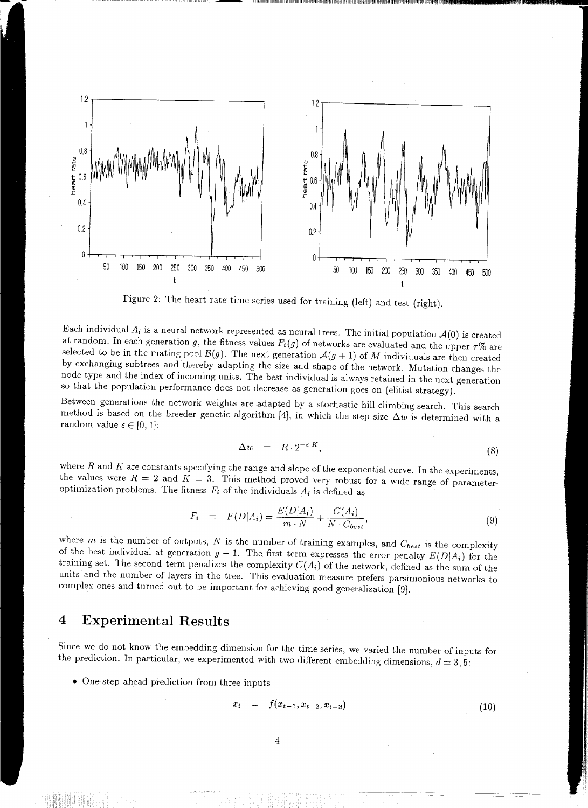

Figure 2: The heart rate time series used for training (left) and test (right).

Each individual  $A_i$  is a neural network represented as neural trees. The initial population  $A(0)$  is created at random. In each generation g, the fitness values  $F_i(g)$  of networks are evaluated and the upper  $\tau$ % are selected to be in the mating pool  $\mathcal{B}(g)$ . The next generation  $\mathcal{A}(g+1)$  of M individuals are then created by exchanging subtrees and thereby adapting the size and shape of the network. Mutation changes the node type and the index of incoming units. The best individual is always retained in the next generation so that the population performance does not decrease as generation goes on (elitist strategy).

Between generations the network weights are adapted by a stochastic hill-climbing search. This search method is based on the breeder genetic algorithm [4], in which the step size  $\Delta w$  is determined with a random value  $\epsilon \in [0,1]$ :

$$
\Delta w = R \cdot 2^{-\epsilon \cdot K},\tag{8}
$$

where  $R$  and  $K$  are constants specifying the range and slope of the exponential curve. In the experiments, the values were  $R = 2$  and  $K = 3$ . This method proved very robust for a wide range of parameteroptimization problems. The fitness  $F_i$  of the individuals  $A_i$  is defined as

$$
F_i = F(D|A_i) = \frac{E(D|A_i)}{m \cdot N} + \frac{C(A_i)}{N \cdot C_{best}},
$$
\n(9)

where  $m$  is the number of outputs,  $N$  is the number of training examples, and  $C_{best}$  is the complexity of the best individual at generation  $g-1$ . The first term expresses the error penalty  $E(D|A_i)$  for the training set. The second term penalizes the complexity  $C(A_i)$  of the network, defined as the sum of the units and the number of layers in the tree. This evaluation measure prefers parsimonious networks to complex ones and turned out to be important for achieving good generalization [9].

#### 4 Experimental Results

Since we do not know the embedding dimension for the time series, we varied the number of inputs for the prediction. In particular, we experimented with two different embedding dimensions,  $d = 3$ , 5:

• One-step ahead prediction from three inputs

$$
x_t = f(x_{t-1}, x_{t-2}, x_{t-3}) \tag{10}
$$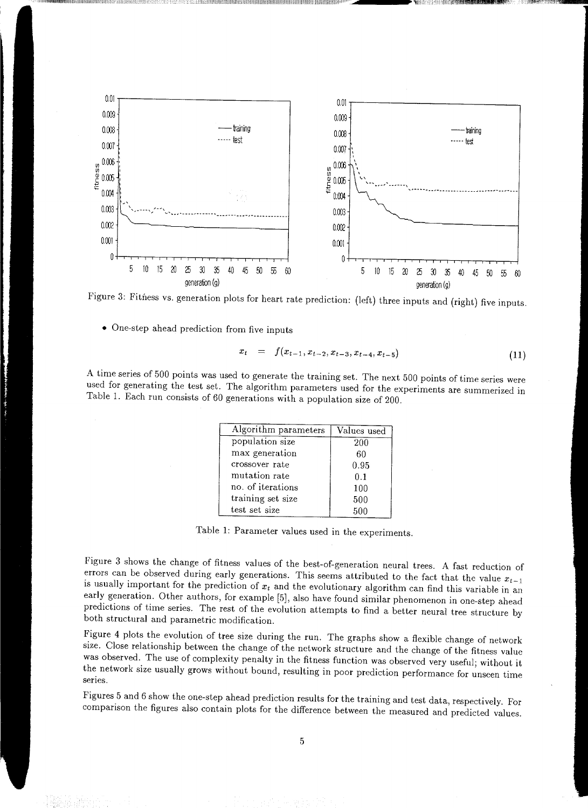



• One-step ahead prediction from five inputs

$$
x_t = f(x_{t-1}, x_{t-2}, x_{t-3}, x_{t-4}, x_{t-5}) \tag{11}
$$

A time series of 500 points was used to generate the training set. The next 500 points of time series were used for generating the test set. The algorithm parameters used for the experiments are summerized in Table 1. Each run consists of 60 generations with a population size of 200.

| Algorithm parameters | Values used |
|----------------------|-------------|
| population size      | 200         |
| max generation       | 60          |
| crossover rate       | 0.95        |
| mutation rate        | 0.1         |
| no. of iterations    | 100         |
| training set size    | 500         |
| test set size        | 500         |

Table 1: Parameter values used in the experiments.

Figure 3 shows the change of fitness values of the best-of-generation neural trees. A fast reduction of errors can be observed during early generations. This seems attributed to the fact that the value  $x_{t-1}$ is usually important for the prediction of  $x_t$  and the evolutionary algorithm can find this variable in an early generation. Other authors, for example [5], also have found similar phenomenon in one-step ahead predictions of time series. The rest of the evolution attempts to find a better neural tree structure by both structural and parametric modification.

Figure 4 plots the evolution of tree size during the run. The graphs show a flexible change of network size. Close relationship between the change of the network structure and the change of the fitness value was observed. The use of complexity penalty in the fitness function was observed very useful; without it the network size usually grows without bound, resulting in poor prediction performance for unseen time series.

Figures 5 and 6 show the one-step ahead prediction results for the training and test data, respectively. For comparison the figures also contain plots for the difference between the measured and predicted values.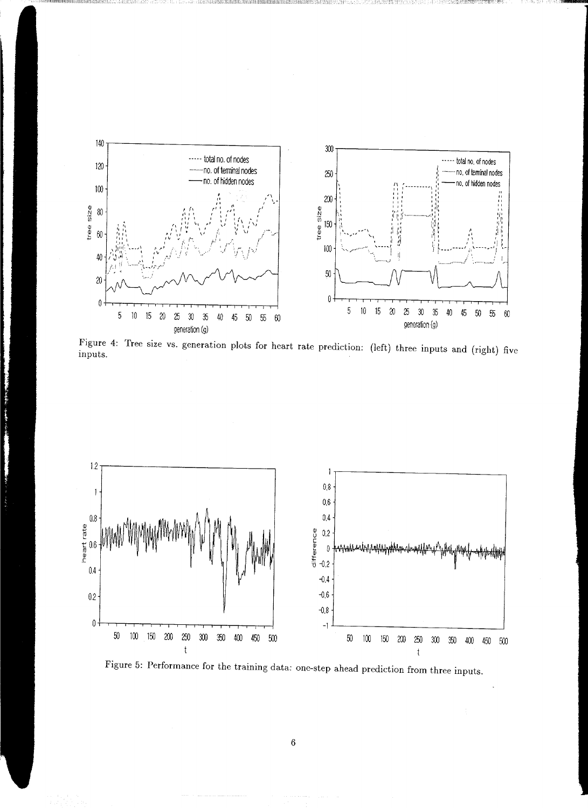

Figure 4: Tree size vs. generation plots for heart rate prediction: (left) three inputs and (right) five inputs.



Figure 5: Performance for the training data: one-step ahead prediction from three inputs.

 $\boldsymbol{6}$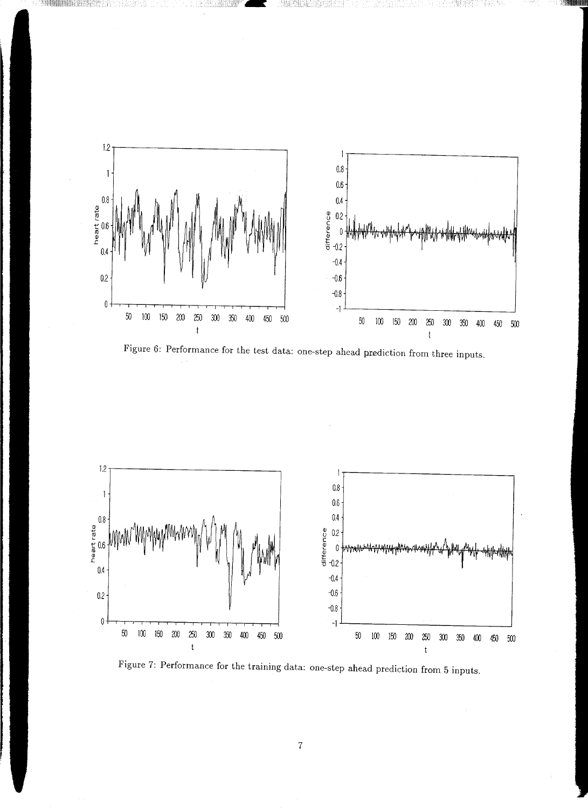

i',,,

<u> 1999 y</u>

Figure 6: Performance for the test data: one-step ahead prediction from three inputs.



Figure 7: Performance for the training data: one-step ahead prediction from 5 inputs.

7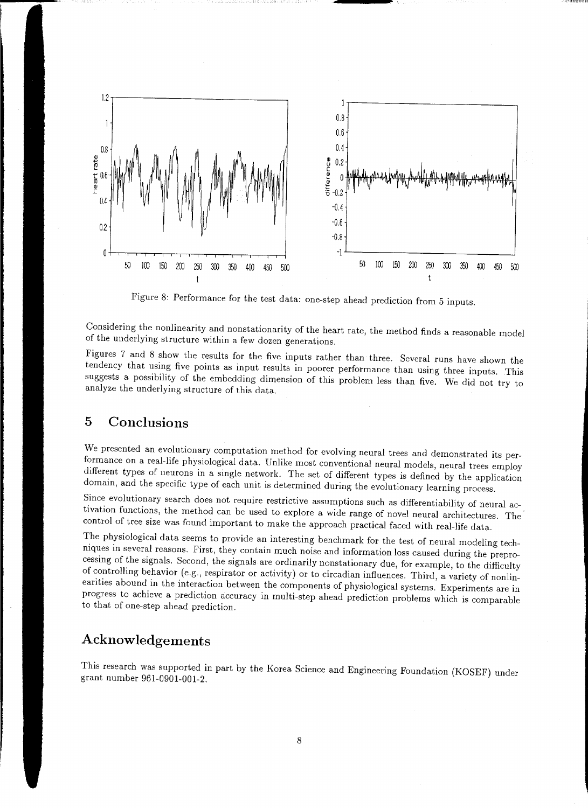

i<sup>a</sup> itta iliin in pitat turni i

Figure 8: Performance for the test data: one-step ahead prediction from 5 inputs.

Considering the nonlinearity and nonstationarity of the heart rate, the method finds a reasonable model of the underlying structure within a few dozen generations.

Figures 7 and 8 show the results for the five inputs rather than three. Several runs have shown the tendency that using five points as input results in poorer performance than using three inputs. This suggests a possibility of the embedding dimension of this problem less than five. We did not try to analyze the underlying structure of this data.

## **5 Conclusions**

We presented an evolutionary computation method for evolving neural trees and demonstrated its performance on a real-life physiological data. Unlike most conventional neural models, neural trees employ different types of neurons in a single network. The set of different types is defined by the application domain, and the specific type of each unit is determined during the evolutionary learning process.

Since evolutionary search does not require restrictive assumptions such as differentiability of neural activation functions, the method can be used to explore a wide range of novel neural architectures. The control of tree size was found important to make the approach practical faced with real-life data.

The physiological data seems to provide an interesting benchmark for the test of neural modeling techniques in several reasons. First, they contain much noise and information loss caused during the preprocessing of the signals. Second, the signals are ordinarily nonstationary due, for example, to the difficulty of controlling behavior (e.g., respirator or activity) or to circadian influences. Third, a variety of nonlinearities abound in the interaction between the components of physiological systems. Experiments are in progress to achieve a prediction accuracy in multi-step ahead prediction problems which is comparable to that of one-step ahead prediction.

## **Acknowledgements**

This research was supported in part by the Korea Science and Engineering Foundation (KOSEF) under grant number 961-0901-001-2.